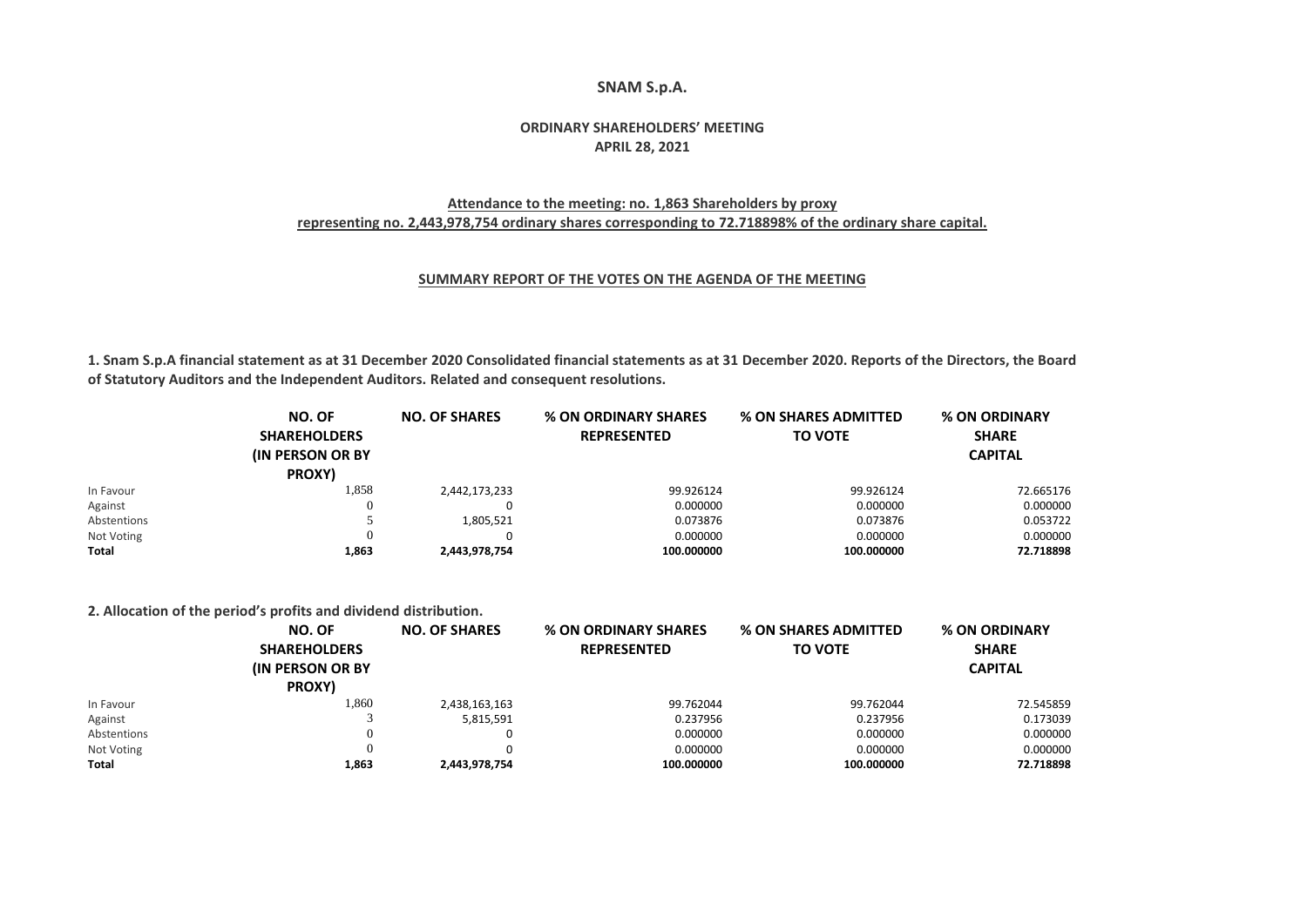### **SNAM S.p.A.**

# **ORDINARY SHAREHOLDERS' MEETING APRIL 28, 2021**

## **Attendance to the meeting: no. 1,863 Shareholders by proxy representing no. 2,443,978,754 ordinary shares corresponding to 72.718898% of the ordinary share capital.**

### **SUMMARY REPORT OF THE VOTES ON THE AGENDA OF THE MEETING**

**1. Snam S.p.A financial statement as at 31 December 2020 Consolidated financial statements as at 31 December 2020. Reports of the Directors, the Board of Statutory Auditors and the Independent Auditors. Related and consequent resolutions.**

|             | NO. OF<br><b>SHAREHOLDERS</b><br><b>(IN PERSON OR BY)</b><br>PROXY) | <b>NO. OF SHARES</b> | <b>% ON ORDINARY SHARES</b><br><b>REPRESENTED</b> | <b>% ON SHARES ADMITTED</b><br><b>TO VOTE</b> | % ON ORDINARY<br><b>SHARE</b><br><b>CAPITAL</b> |
|-------------|---------------------------------------------------------------------|----------------------|---------------------------------------------------|-----------------------------------------------|-------------------------------------------------|
| In Favour   | 1,858                                                               | 2,442,173,233        | 99.926124                                         | 99.926124                                     | 72.665176                                       |
| Against     | O                                                                   |                      | 0.000000                                          | 0.000000                                      | 0.000000                                        |
| Abstentions |                                                                     | 1,805,521            | 0.073876                                          | 0.073876                                      | 0.053722                                        |
| Not Voting  | 0                                                                   |                      | 0.000000                                          | 0.000000                                      | 0.000000                                        |
| Total       | 1,863                                                               | 2,443,978,754        | 100.000000                                        | 100.000000                                    | 72.718898                                       |

**2. Allocation of the period's profits and dividend distribution.**

|             | NO. OF<br><b>SHAREHOLDERS</b><br><b>IN PERSON OR BY</b><br>PROXY) | <b>NO. OF SHARES</b> | <b>% ON ORDINARY SHARES</b><br><b>REPRESENTED</b> | <b>% ON SHARES ADMITTED</b><br><b>TO VOTE</b> | % ON ORDINARY<br><b>SHARE</b><br><b>CAPITAL</b> |
|-------------|-------------------------------------------------------------------|----------------------|---------------------------------------------------|-----------------------------------------------|-------------------------------------------------|
| In Favour   | 1,860                                                             | 2,438,163,163        | 99.762044                                         | 99.762044                                     | 72.545859                                       |
| Against     |                                                                   | 5,815,591            | 0.237956                                          | 0.237956                                      | 0.173039                                        |
| Abstentions |                                                                   |                      | 0.000000                                          | 0.000000                                      | 0.000000                                        |
| Not Voting  |                                                                   |                      | 0.000000                                          | 0.000000                                      | 0.000000                                        |
| Total       | 1,863                                                             | 2,443,978,754        | 100.000000                                        | 100.000000                                    | 72.718898                                       |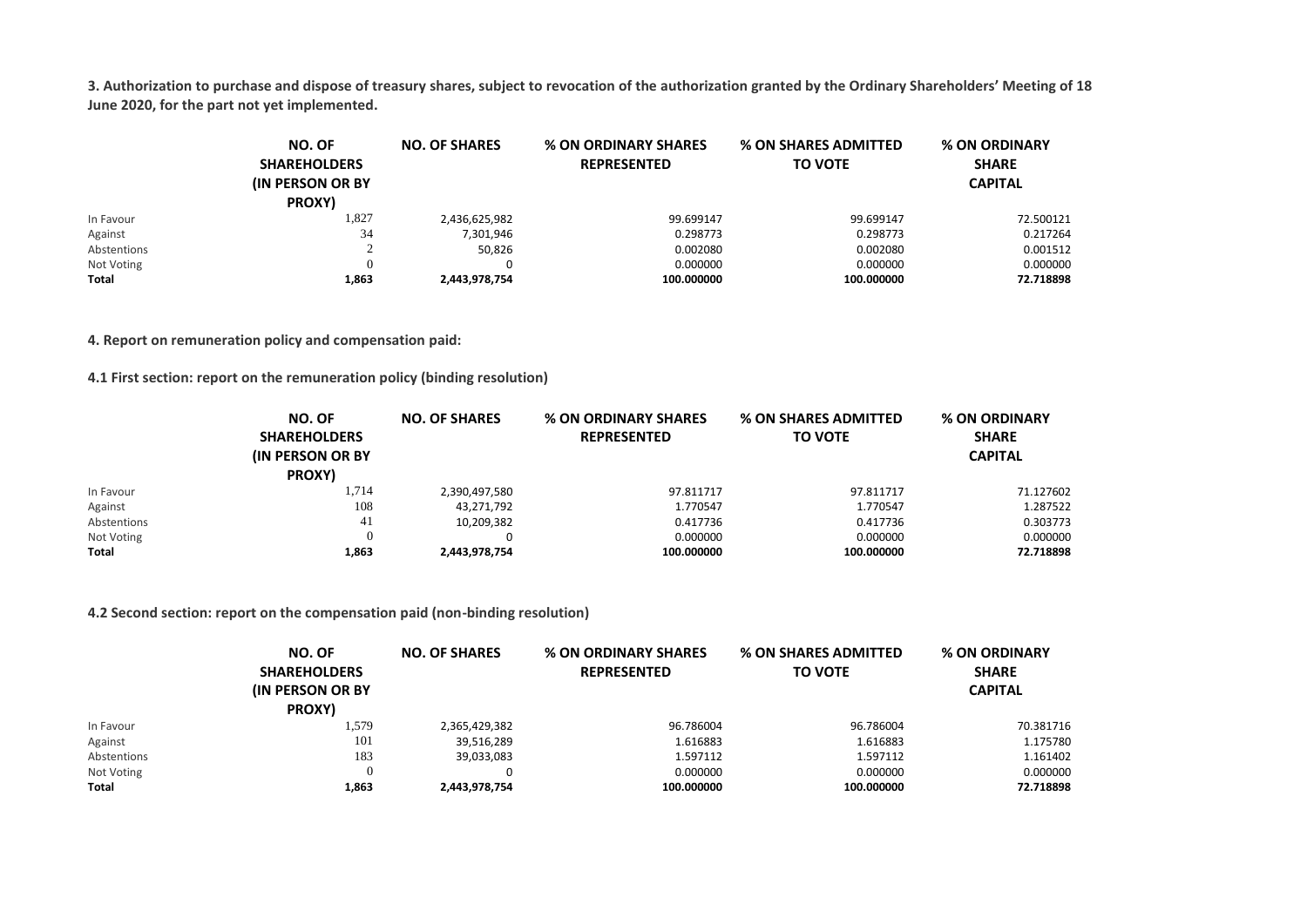**3. Authorization to purchase and dispose of treasury shares, subject to revocation of the authorization granted by the Ordinary Shareholders' Meeting of 18 June 2020, for the part not yet implemented.**

|             | NO. OF<br><b>SHAREHOLDERS</b><br><b>(IN PERSON OR BY)</b><br>PROXY) | <b>NO. OF SHARES</b> | <b>% ON ORDINARY SHARES</b><br><b>REPRESENTED</b> | <b>% ON SHARES ADMITTED</b><br><b>TO VOTE</b> | % ON ORDINARY<br><b>SHARE</b><br><b>CAPITAL</b> |
|-------------|---------------------------------------------------------------------|----------------------|---------------------------------------------------|-----------------------------------------------|-------------------------------------------------|
| In Favour   | 1,827                                                               | 2,436,625,982        | 99.699147                                         | 99.699147                                     | 72.500121                                       |
| Against     | 34                                                                  | 7,301,946            | 0.298773                                          | 0.298773                                      | 0.217264                                        |
| Abstentions |                                                                     | 50.826               | 0.002080                                          | 0.002080                                      | 0.001512                                        |
| Not Voting  |                                                                     | 0                    | 0.000000                                          | 0.000000                                      | 0.000000                                        |
| Total       | 1,863                                                               | 2,443,978,754        | 100.000000                                        | 100.000000                                    | 72.718898                                       |

**4. Report on remuneration policy and compensation paid:**

**4.1 First section: report on the remuneration policy (binding resolution)**

|              | NO. OF<br><b>SHAREHOLDERS</b><br><b>(IN PERSON OR BY)</b><br>PROXY) | <b>NO. OF SHARES</b> | <b>% ON ORDINARY SHARES</b><br><b>REPRESENTED</b> | <b>% ON SHARES ADMITTED</b><br><b>TO VOTE</b> | % ON ORDINARY<br><b>SHARE</b><br><b>CAPITAL</b> |
|--------------|---------------------------------------------------------------------|----------------------|---------------------------------------------------|-----------------------------------------------|-------------------------------------------------|
| In Favour    | 1,714                                                               | 2,390,497,580        | 97.811717                                         | 97.811717                                     | 71.127602                                       |
| Against      | 108                                                                 | 43,271,792           | 1.770547                                          | 1.770547                                      | 1.287522                                        |
| Abstentions  | 41                                                                  | 10,209,382           | 0.417736                                          | 0.417736                                      | 0.303773                                        |
| Not Voting   | 0                                                                   |                      | 0.000000                                          | 0.000000                                      | 0.000000                                        |
| <b>Total</b> | 1,863                                                               | 2,443,978,754        | 100.000000                                        | 100.000000                                    | 72.718898                                       |

### **4.2 Second section: report on the compensation paid (non-binding resolution)**

|             | NO. OF                   | <b>NO. OF SHARES</b> | <b>% ON ORDINARY SHARES</b> | <b>% ON SHARES ADMITTED</b> | % ON ORDINARY  |
|-------------|--------------------------|----------------------|-----------------------------|-----------------------------|----------------|
|             | <b>SHAREHOLDERS</b>      |                      | <b>REPRESENTED</b>          | <b>TO VOTE</b>              | <b>SHARE</b>   |
|             | <b>(IN PERSON OR BY)</b> |                      |                             |                             | <b>CAPITAL</b> |
|             | PROXY)                   |                      |                             |                             |                |
| In Favour   | 1,579                    | 2,365,429,382        | 96.786004                   | 96.786004                   | 70.381716      |
| Against     | 101                      | 39,516,289           | 1.616883                    | 1.616883                    | 1.175780       |
| Abstentions | 183                      | 39,033,083           | 1.597112                    | 1.597112                    | 1.161402       |
| Not Voting  |                          | 0                    | 0.000000                    | 0.000000                    | 0.000000       |
| Total       | 1,863                    | 2,443,978,754        | 100.000000                  | 100.000000                  | 72.718898      |